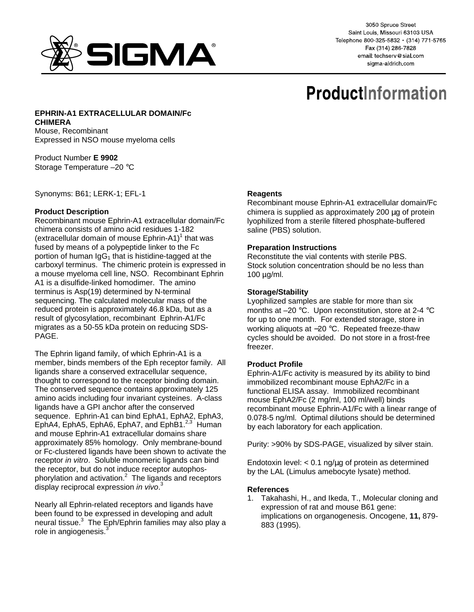

3050 Spruce Street Saint Louis, Missouri 63103 USA Telephone 800-325-5832 · (314) 771-5765 Fax (314) 286-7828 email: techserv@sial.com sigma-aldrich.com

# **ProductInformation**

**EPHRIN-A1 EXTRACELLULAR DOMAIN/Fc CHIMERA**  Mouse, Recombinant Expressed in NSO mouse myeloma cells

Product Number **E 9902**  Storage Temperature –20 °C

Synonyms: B61; LERK-1; EFL-1

## **Product Description**

Recombinant mouse Ephrin-A1 extracellular domain/Fc chimera consists of amino acid residues 1-182 (extracellular domain of mouse  $Ephrin-A1$ <sup>1</sup> that was fused by means of a polypeptide linker to the Fc portion of human  $IqG_1$  that is histidine-tagged at the carboxyl terminus. The chimeric protein is expressed in a mouse myeloma cell line, NSO. Recombinant Ephrin A1 is a disulfide-linked homodimer. The amino terminus is Asp(19) determined by N-terminal sequencing. The calculated molecular mass of the reduced protein is approximately 46.8 kDa, but as a result of glycosylation, recombinant Ephrin-A1/Fc migrates as a 50-55 kDa protein on reducing SDS-PAGE.

The Ephrin ligand family, of which Ephrin-A1 is a member, binds members of the Eph receptor family. All ligands share a conserved extracellular sequence, thought to correspond to the receptor binding domain. The conserved sequence contains approximately 125 amino acids including four invariant cysteines. A-class ligands have a GPI anchor after the conserved sequence. Ephrin-A1 can bind EphA1, EphA2, EphA3, EphA4, EphA5, EphA6, EphA7, and EphB1.<sup>2,3</sup> Human and mouse Ephrin-A1 extracellular domains share approximately 85% homology. Only membrane-bound or Fc-clustered ligands have been shown to activate the receptor in vitro. Soluble monomeric ligands can bind the receptor, but do not induce receptor autophosphorylation and activation. $^2$  The ligands and receptors display reciprocal expression in vivo.<sup>3</sup>

Nearly all Ephrin-related receptors and ligands have been found to be expressed in developing and adult neural tissue.<sup>3</sup> The Eph/Ephrin families may also play a role in angiogenesis.

# **Reagents**

Recombinant mouse Ephrin-A1 extracellular domain/Fc chimera is supplied as approximately 200 µg of protein lyophilized from a sterile filtered phosphate-buffered saline (PBS) solution.

#### **Preparation Instructions**

Reconstitute the vial contents with sterile PBS. Stock solution concentration should be no less than 100 µg/ml.

## **Storage/Stability**

Lyophilized samples are stable for more than six months at –20 °C. Upon reconstitution, store at 2-4 °C for up to one month. For extended storage, store in working aliquots at -20 °C. Repeated freeze-thaw cycles should be avoided. Do not store in a frost-free freezer.

# **Product Profile**

Ephrin-A1/Fc activity is measured by its ability to bind immobilized recombinant mouse EphA2/Fc in a functional ELISA assay. Immobilized recombinant mouse EphA2/Fc (2 mg/ml, 100 ml/well) binds recombinant mouse Ephrin-A1/Fc with a linear range of 0.078-5 ng/ml. Optimal dilutions should be determined by each laboratory for each application.

Purity: >90% by SDS-PAGE, visualized by silver stain.

Endotoxin level:  $< 0.1$  ng/ $\mu$ g of protein as determined by the LAL (Limulus amebocyte lysate) method.

#### **References**

1. Takahashi, H., and Ikeda, T., Molecular cloning and expression of rat and mouse B61 gene: implications on organogenesis. Oncogene, **11,** 879- 883 (1995).